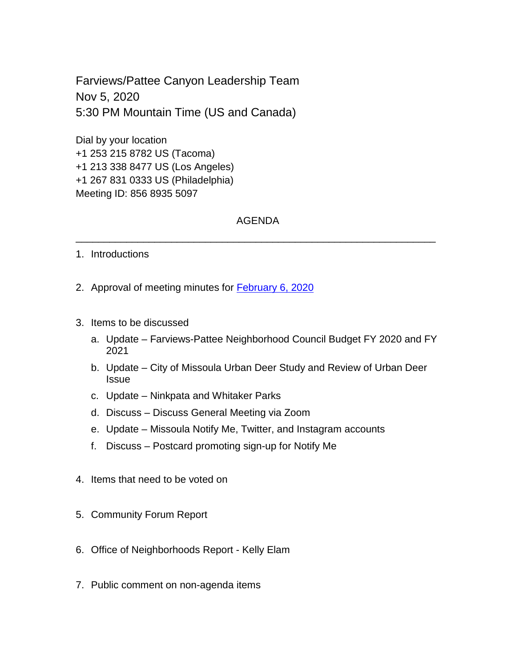Farviews/Pattee Canyon Leadership Team Nov 5, 2020 5:30 PM Mountain Time (US and Canada)

Dial by your location +1 253 215 8782 US (Tacoma) +1 213 338 8477 US (Los Angeles) +1 267 831 0333 US (Philadelphia) Meeting ID: 856 8935 5097

## AGENDA

\_\_\_\_\_\_\_\_\_\_\_\_\_\_\_\_\_\_\_\_\_\_\_\_\_\_\_\_\_\_\_\_\_\_\_\_\_\_\_\_\_\_\_\_\_\_\_\_\_\_\_\_\_\_\_\_\_\_\_\_\_\_\_\_

- 1. Introductions
- 2. Approval of meeting minutes for **February 6, 2020**
- 3. Items to be discussed
	- a. Update Farviews-Pattee Neighborhood Council Budget FY 2020 and FY 2021
	- b. Update City of Missoula Urban Deer Study and Review of Urban Deer **Issue**
	- c. Update Ninkpata and Whitaker Parks
	- d. Discuss Discuss General Meeting via Zoom
	- e. Update Missoula Notify Me, Twitter, and Instagram accounts
	- f. Discuss Postcard promoting sign-up for Notify Me
- 4. Items that need to be voted on
- 5. Community Forum Report
- 6. Office of Neighborhoods Report Kelly Elam
- 7. Public comment on non-agenda items